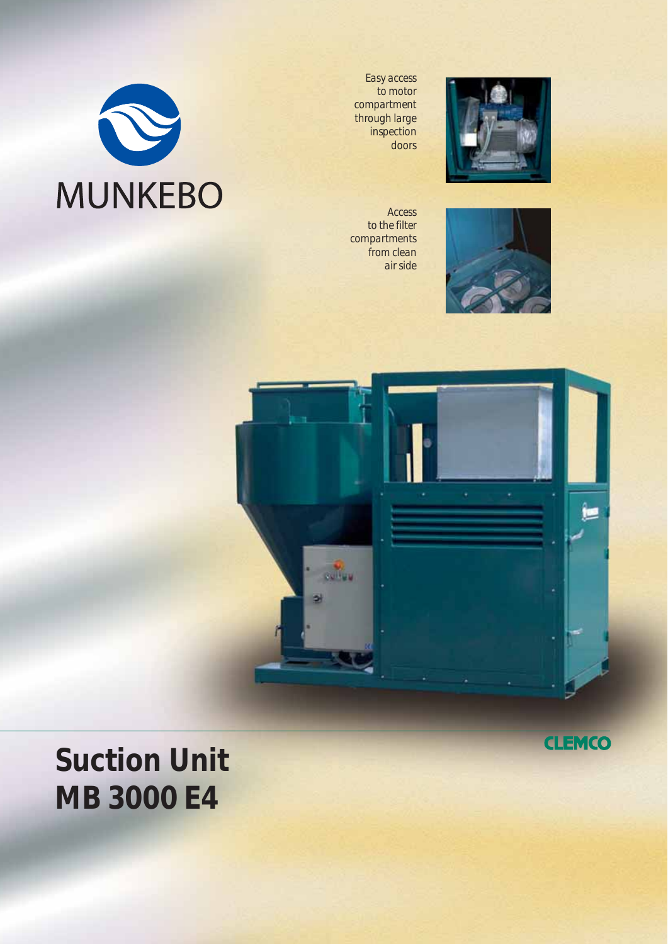

*Easy access to motor compartment through large inspection doors*



*Access to the filter compartments from clean air side*





# **Suction Unit MB 3000 E4**